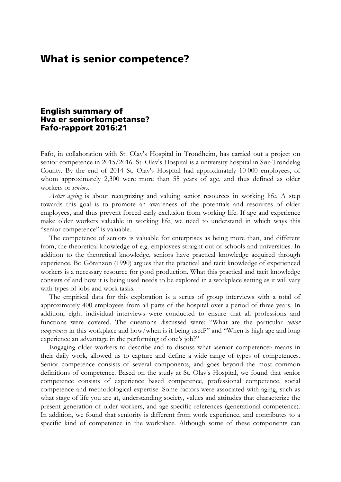## What is senior competence?

## English summary of Hva er seniorkompetanse? Fafo-rapport 2016:21

Fafo, in collaboration with St. Olav's Hospital in Trondheim, has carried out a project on senior competence in 2015/2016. St. Olav's Hospital is a university hospital in Sør-Trøndelag County. By the end of 2014 St. Olav's Hospital had approximately 10 000 employees, of whom approximately 2,300 were more than 55 years of age, and thus defined as older workers or *seniors*.

*Active ageing* is about recognizing and valuing senior resources in working life. A step towards this goal is to promote an awareness of the potentials and resources of older employees, and thus prevent forced early exclusion from working life. If age and experience make older workers valuable in working life, we need to understand in which ways this "senior competence" is valuable.

The competence of seniors is valuable for enterprises as being more than, and different from, the theoretical knowledge of e.g. employees straight out of schools and universities. In addition to the theoretical knowledge, seniors have practical knowledge acquired through experience. Bo Göranzon (1990) argues that the practical and tacit knowledge of experienced workers is a necessary resource for good production. What this practical and tacit knowledge consists of and how it is being used needs to be explored in a workplace setting as it will vary with types of jobs and work tasks.

The empirical data for this exploration is a series of group interviews with a total of approximately 400 employees from all parts of the hospital over a period of three years. In addition, eight individual interviews were conducted to ensure that all professions and functions were covered. The questions discussed were: "What are the particular *senior competences* in this workplace and how/when is it being used?" and "When is high age and long experience an advantage in the performing of one's job?"

Engaging older workers to describe and to discuss what «senior competence» means in their daily work, allowed us to capture and define a wide range of types of competences. Senior competence consists of several components, and goes beyond the most common definitions of competence. Based on the study at St. Olav's Hospital, we found that senior competence consists of experience based competence, professional competence, social competence and methodological expertise. Some factors were associated with aging, such as what stage of life you are at, understanding society, values and attitudes that characterize the present generation of older workers, and age-specific references (generational competence). In addition, we found that seniority is different from work experience, and contributes to a specific kind of competence in the workplace. Although some of these components can